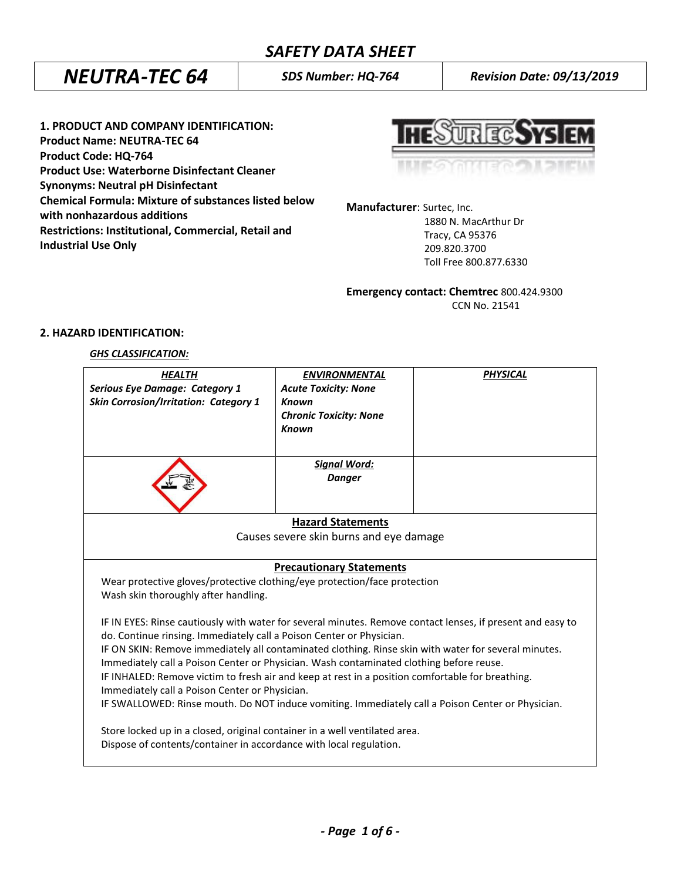# *SAFETY DATA SHEET*

# *NEUTRA-TEC 64 SDS Number: HQ-764 Revision Date: 09/13/2019*

**1. PRODUCT AND COMPANY IDENTIFICATION: Product Name: NEUTRA-TEC 64 Product Code: HQ-764 Product Use: Waterborne Disinfectant Cleaner Synonyms: Neutral pH Disinfectant Chemical Formula: Mixture of substances listed below with nonhazardous additions Restrictions: Institutional, Commercial, Retail and Industrial Use Only**

| <b>HESTIRECSYSIEM</b> |  |  |
|-----------------------|--|--|
|                       |  |  |

**Manufacturer**: Surtec, Inc.

 1880 N. MacArthur Dr Tracy, CA 95376 209.820.3700 Toll Free 800.877.6330

**Emergency contact: Chemtrec** 800.424.9300

CCN No. 21541

### **2. HAZARD IDENTIFICATION:**

### *GHS CLASSIFICATION:*

| <b>HEALTH</b><br><b>Serious Eye Damage: Category 1</b><br><b>Skin Corrosion/Irritation: Category 1</b>                                                                                                                                                                                                                                                                                | <b>ENVIRONMENTAL</b><br><b>Acute Toxicity: None</b><br><b>Known</b><br><b>Chronic Toxicity: None</b><br><b>Known</b> | <b>PHYSICAL</b> |  |
|---------------------------------------------------------------------------------------------------------------------------------------------------------------------------------------------------------------------------------------------------------------------------------------------------------------------------------------------------------------------------------------|----------------------------------------------------------------------------------------------------------------------|-----------------|--|
|                                                                                                                                                                                                                                                                                                                                                                                       | <b>Signal Word:</b><br><b>Danger</b>                                                                                 |                 |  |
|                                                                                                                                                                                                                                                                                                                                                                                       | <b>Hazard Statements</b>                                                                                             |                 |  |
| Causes severe skin burns and eye damage                                                                                                                                                                                                                                                                                                                                               |                                                                                                                      |                 |  |
| <b>Precautionary Statements</b>                                                                                                                                                                                                                                                                                                                                                       |                                                                                                                      |                 |  |
| Wear protective gloves/protective clothing/eye protection/face protection<br>Wash skin thoroughly after handling.                                                                                                                                                                                                                                                                     |                                                                                                                      |                 |  |
| IF IN EYES: Rinse cautiously with water for several minutes. Remove contact lenses, if present and easy to<br>do. Continue rinsing. Immediately call a Poison Center or Physician.<br>IF ON SKIN: Remove immediately all contaminated clothing. Rinse skin with water for several minutes.<br>Immediately call a Poison Center or Physician. Wash contaminated clothing before reuse. |                                                                                                                      |                 |  |
| IF INHALED: Remove victim to fresh air and keep at rest in a position comfortable for breathing.<br>Immediately call a Poison Center or Physician.                                                                                                                                                                                                                                    |                                                                                                                      |                 |  |
| IF SWALLOWED: Rinse mouth. Do NOT induce vomiting. Immediately call a Poison Center or Physician.                                                                                                                                                                                                                                                                                     |                                                                                                                      |                 |  |
| Store locked up in a closed, original container in a well ventilated area.<br>Dispose of contents/container in accordance with local regulation.                                                                                                                                                                                                                                      |                                                                                                                      |                 |  |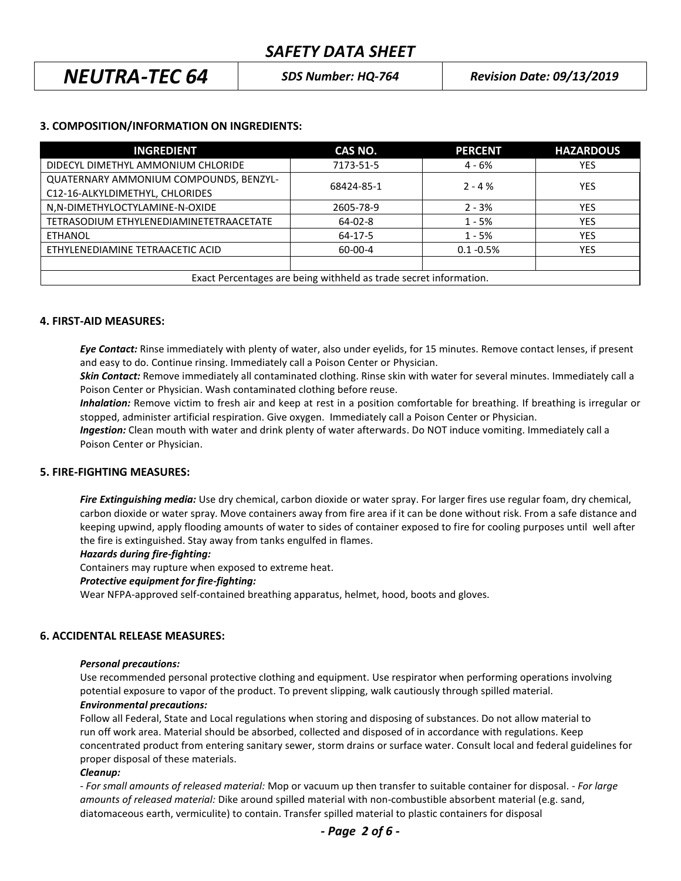# *NEUTRA-TEC 64 SDS Number: HQ-764 Revision Date: 09/13/2019*

### **3. COMPOSITION/INFORMATION ON INGREDIENTS:**

| <b>INGREDIENT</b>                                                 | CAS NO.       | <b>PERCENT</b> | <b>HAZARDOUS</b> |
|-------------------------------------------------------------------|---------------|----------------|------------------|
| DIDECYL DIMETHYL AMMONIUM CHLORIDE                                | 7173-51-5     | $4 - 6%$       | <b>YES</b>       |
| <b>QUATERNARY AMMONIUM COMPOUNDS, BENZYL-</b>                     | 68424-85-1    | $2 - 4%$       | <b>YES</b>       |
| C12-16-ALKYLDIMETHYL, CHLORIDES                                   |               |                |                  |
| N,N-DIMETHYLOCTYLAMINE-N-OXIDE                                    | 2605-78-9     | $2 - 3%$       | YES.             |
| TETRASODIUM ETHYLENEDIAMINETETRAACETATE                           | $64 - 02 - 8$ | $1 - 5%$       | <b>YES</b>       |
| <b>ETHANOL</b>                                                    | 64-17-5       | $1 - 5%$       | <b>YES</b>       |
| ETHYLENEDIAMINE TETRAACETIC ACID                                  | $60 - 00 - 4$ | $0.1 - 0.5%$   | <b>YES</b>       |
|                                                                   |               |                |                  |
| Exact Percentages are being withheld as trade secret information. |               |                |                  |

### **4. FIRST-AID MEASURES:**

*Eye Contact:* Rinse immediately with plenty of water, also under eyelids, for 15 minutes. Remove contact lenses, if present and easy to do. Continue rinsing. Immediately call a Poison Center or Physician.

*Skin Contact:* Remove immediately all contaminated clothing. Rinse skin with water for several minutes. Immediately call a Poison Center or Physician. Wash contaminated clothing before reuse.

 *Inhalation:* Remove victim to fresh air and keep at rest in a position comfortable for breathing. If breathing is irregular or stopped, administer artificial respiration. Give oxygen. Immediately call a Poison Center or Physician.

*Ingestion:* Clean mouth with water and drink plenty of water afterwards. Do NOT induce vomiting. Immediately call a Poison Center or Physician.

### **5. FIRE-FIGHTING MEASURES:**

*Fire Extinguishing media:* Use dry chemical, carbon dioxide or water spray. For larger fires use regular foam, dry chemical, carbon dioxide or water spray. Move containers away from fire area if it can be done without risk. From a safe distance and keeping upwind, apply flooding amounts of water to sides of container exposed to fire for cooling purposes until well after the fire is extinguished. Stay away from tanks engulfed in flames.

### *Hazards during fire-fighting:*

Containers may rupture when exposed to extreme heat.

### *Protective equipment for fire-fighting:*

Wear NFPA-approved self-contained breathing apparatus, helmet, hood, boots and gloves.

### **6. ACCIDENTAL RELEASE MEASURES:**

### *Personal precautions:*

Use recommended personal protective clothing and equipment. Use respirator when performing operations involving potential exposure to vapor of the product. To prevent slipping, walk cautiously through spilled material. *Environmental precautions:*

Follow all Federal, State and Local regulations when storing and disposing of substances. Do not allow material to run off work area. Material should be absorbed, collected and disposed of in accordance with regulations. Keep concentrated product from entering sanitary sewer, storm drains or surface water. Consult local and federal guidelines for proper disposal of these materials.

### *Cleanup:*

*- For small amounts of released material:* Mop or vacuum up then transfer to suitable container for disposal. - *For large amounts of released material:* Dike around spilled material with non-combustible absorbent material (e.g. sand, diatomaceous earth, vermiculite) to contain. Transfer spilled material to plastic containers for disposal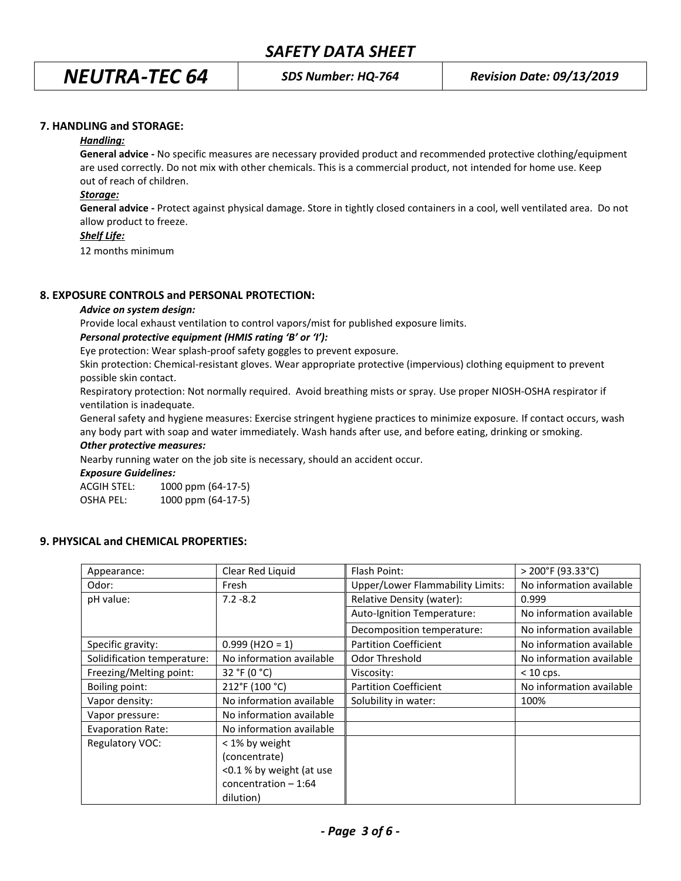*NEUTRA-TEC 64 SDS Number: HQ-764 Revision Date: 09/13/2019*

### **7. HANDLING and STORAGE:**

### *Handling:*

**General advice -** No specific measures are necessary provided product and recommended protective clothing/equipment are used correctly. Do not mix with other chemicals. This is a commercial product, not intended for home use. Keep out of reach of children.

### *Storage:*

**General advice -** Protect against physical damage. Store in tightly closed containers in a cool, well ventilated area. Do not allow product to freeze.

### *Shelf Life:*

12 months minimum

### **8. EXPOSURE CONTROLS and PERSONAL PROTECTION:**

#### *Advice on system design:*

Provide local exhaust ventilation to control vapors/mist for published exposure limits.

### *Personal protective equipment (HMIS rating 'B' or 'I'):*

Eye protection: Wear splash-proof safety goggles to prevent exposure.

Skin protection: Chemical-resistant gloves. Wear appropriate protective (impervious) clothing equipment to prevent possible skin contact.

Respiratory protection: Not normally required. Avoid breathing mists or spray. Use proper NIOSH-OSHA respirator if ventilation is inadequate.

General safety and hygiene measures: Exercise stringent hygiene practices to minimize exposure. If contact occurs, wash any body part with soap and water immediately. Wash hands after use, and before eating, drinking or smoking.

### *Other protective measures:*

Nearby running water on the job site is necessary, should an accident occur.

*Exposure Guidelines:*

ACGIH STEL: 1000 ppm (64-17-5) OSHA PEL: 1000 ppm (64-17-5)

### **9. PHYSICAL and CHEMICAL PROPERTIES:**

| Appearance:                 | Clear Red Liquid              | Flash Point:                     | $>$ 200°F (93.33°C)      |
|-----------------------------|-------------------------------|----------------------------------|--------------------------|
| Odor:                       | Fresh                         | Upper/Lower Flammability Limits: | No information available |
| pH value:                   | $7.2 - 8.2$                   | Relative Density (water):        | 0.999                    |
|                             |                               | Auto-Ignition Temperature:       | No information available |
|                             |                               | Decomposition temperature:       | No information available |
| Specific gravity:           | $0.999$ (H <sub>2O</sub> = 1) | <b>Partition Coefficient</b>     | No information available |
| Solidification temperature: | No information available      | <b>Odor Threshold</b>            | No information available |
| Freezing/Melting point:     | 32 °F (0 °C)                  | Viscosity:                       | $< 10$ cps.              |
| Boiling point:              | 212°F (100 °C)                | <b>Partition Coefficient</b>     | No information available |
| Vapor density:              | No information available      | Solubility in water:             | 100%                     |
| Vapor pressure:             | No information available      |                                  |                          |
| <b>Evaporation Rate:</b>    | No information available      |                                  |                          |
| Regulatory VOC:             | < 1% by weight                |                                  |                          |
|                             | (concentrate)                 |                                  |                          |
|                             | <0.1 % by weight (at use      |                                  |                          |
|                             | concentration $-1:64$         |                                  |                          |
|                             | dilution)                     |                                  |                          |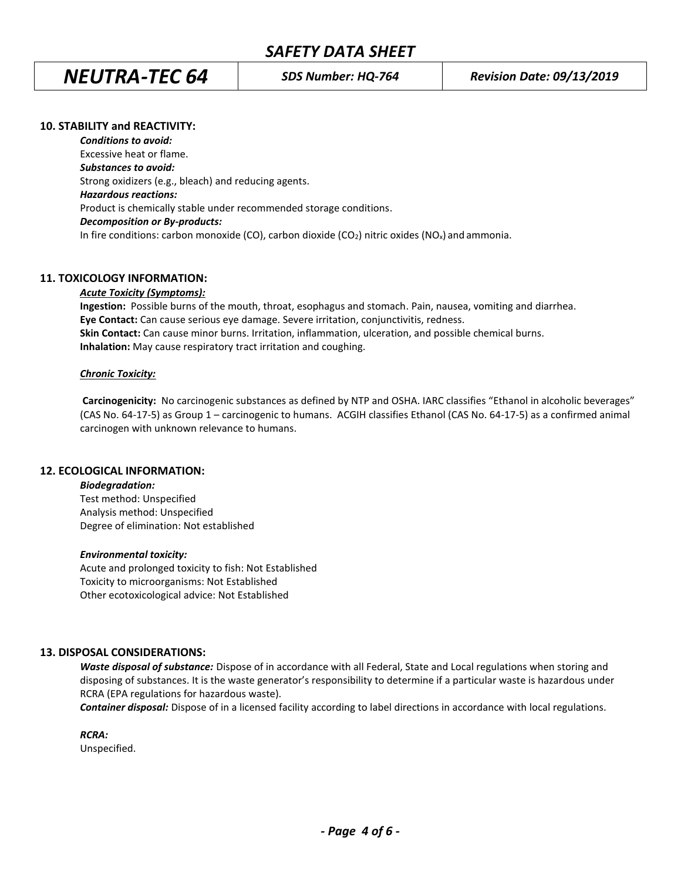*NEUTRA-TEC 64 SDS Number: HQ-764 Revision Date: 09/13/2019*

### **10. STABILITY and REACTIVITY:**

*Conditions to avoid:* Excessive heat or flame. *Substances to avoid:* Strong oxidizers (e.g., bleach) and reducing agents. *Hazardous reactions:* Product is chemically stable under recommended storage conditions. *Decomposition or By-products:* In fire conditions: carbon monoxide (CO), carbon dioxide (CO<sub>2</sub>) nitric oxides (NO<sub>x</sub>) and ammonia.

### **11. TOXICOLOGY INFORMATION:**

### *Acute Toxicity (Symptoms):*

**Ingestion:** Possible burns of the mouth, throat, esophagus and stomach. Pain, nausea, vomiting and diarrhea. **Eye Contact:** Can cause serious eye damage. Severe irritation, conjunctivitis, redness. **Skin Contact:** Can cause minor burns. Irritation, inflammation, ulceration, and possible chemical burns. **Inhalation:** May cause respiratory tract irritation and coughing.

### *Chronic Toxicity:*

**Carcinogenicity:** No carcinogenic substances as defined by NTP and OSHA. IARC classifies "Ethanol in alcoholic beverages" (CAS No. 64-17-5) as Group 1 – carcinogenic to humans. ACGIH classifies Ethanol (CAS No. 64-17-5) as a confirmed animal carcinogen with unknown relevance to humans.

### **12. ECOLOGICAL INFORMATION:**

*Biodegradation:* Test method: Unspecified Analysis method: Unspecified Degree of elimination: Not established

### *Environmental toxicity:*

Acute and prolonged toxicity to fish: Not Established Toxicity to microorganisms: Not Established Other ecotoxicological advice: Not Established

### **13. DISPOSAL CONSIDERATIONS:**

*Waste disposal of substance:* Dispose of in accordance with all Federal, State and Local regulations when storing and disposing of substances. It is the waste generator's responsibility to determine if a particular waste is hazardous under RCRA (EPA regulations for hazardous waste).

*Container disposal:* Dispose of in a licensed facility according to label directions in accordance with local regulations.

*RCRA:*

Unspecified.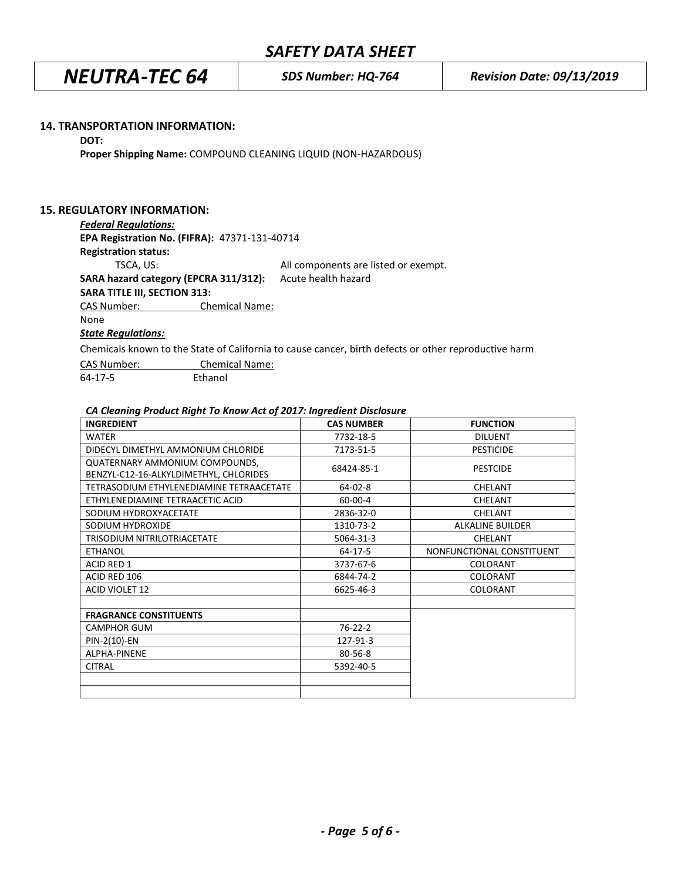## *SAFETY DATA SHEET*

*NEUTRA-TEC 64 SDS Number: HQ-764 Revision Date: 09/13/2019*

### **14. TRANSPORTATION INFORMATION:**

#### **DOT:**

**Proper Shipping Name:** COMPOUND CLEANING LIQUID (NON-HAZARDOUS)

### **15. REGULATORY INFORMATION:**

#### *Federal Regulations:*

**EPA Registration No. (FIFRA):** 47371-131-40714 **Registration status:** TSCA, US: All components are listed or exempt.

**SARA hazard category (EPCRA 311/312):** Acute health hazard

**SARA TITLE III, SECTION 313:**

CAS Number: Chemical Name:

### None

### *State Regulations:*

Chemicals known to the State of California to cause cancer, birth defects or other reproductive harm

| CAS Number: | <b>Chemical Name:</b> |  |  |
|-------------|-----------------------|--|--|
| 64-17-5     | Ethanol               |  |  |

### *CA Cleaning Product Right To Know Act of 2017: Ingredient Disclosure*

| <b>INGREDIENT</b>                                                        | <b>CAS NUMBER</b> | <b>FUNCTION</b>           |
|--------------------------------------------------------------------------|-------------------|---------------------------|
| <b>WATER</b>                                                             | 7732-18-5         | <b>DILUENT</b>            |
| DIDECYL DIMETHYL AMMONIUM CHLORIDE                                       | 7173-51-5         | <b>PESTICIDE</b>          |
| QUATERNARY AMMONIUM COMPOUNDS,<br>BENZYL-C12-16-ALKYLDIMETHYL, CHLORIDES | 68424-85-1        | <b>PESTCIDE</b>           |
| TETRASODIUM ETHYLENEDIAMINE TETRAACETATE                                 | 64-02-8           | <b>CHELANT</b>            |
| ETHYLENEDIAMINE TETRAACETIC ACID                                         | 60-00-4           | <b>CHELANT</b>            |
| SODIUM HYDROXYACETATE                                                    | 2836-32-0         | CHELANT                   |
| SODIUM HYDROXIDE                                                         | 1310-73-2         | <b>ALKALINE BUILDER</b>   |
| TRISODIUM NITRILOTRIACETATE                                              | 5064-31-3         | <b>CHELANT</b>            |
| <b>ETHANOL</b>                                                           | 64-17-5           | NONFUNCTIONAL CONSTITUENT |
| <b>ACID RED 1</b>                                                        | 3737-67-6         | COLORANT                  |
| ACID RED 106                                                             | 6844-74-2         | COLORANT                  |
| <b>ACID VIOLET 12</b>                                                    | 6625-46-3         | <b>COLORANT</b>           |
|                                                                          |                   |                           |
| <b>FRAGRANCE CONSTITUENTS</b>                                            |                   |                           |
| <b>CAMPHOR GUM</b>                                                       | $76 - 22 - 2$     |                           |
| PIN-2(10)-EN                                                             | 127-91-3          |                           |
| ALPHA-PINENE                                                             | 80-56-8           |                           |
| <b>CITRAL</b>                                                            | 5392-40-5         |                           |
|                                                                          |                   |                           |
|                                                                          |                   |                           |